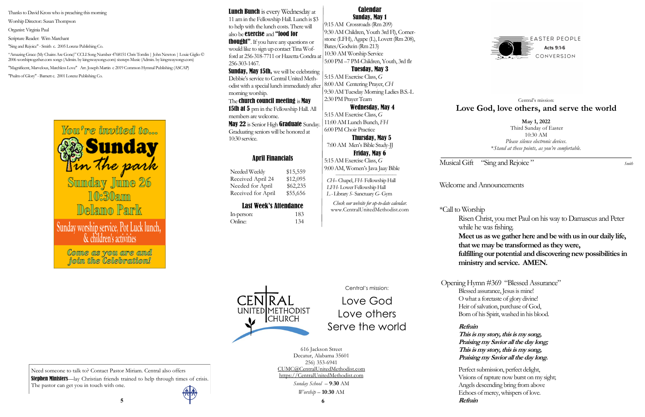# Welcome and Announcements

\*Call to Worship

Risen Christ, you met Paul on his way to Damascus and Peter while he was fishing.

**Meet us as we gather here and be with us in our daily life, that we may be transformed as they were,**

**fulfilling our potential and discovering new possibilities in ministry and service. AMEN.** 

Opening Hymn #369 "Blessed Assurance" Blessed assurance, Jesus is mine! O what a foretaste of glory divine! Heir of salvation, purchase of God, Born of his Spirit, washed in his blood.

### **Refrain**

Needed Weekly \$15,559 Received April 24 \$12,095 Needed for April \$62,235 Received for April \$55,656

> **This is my story, this is my song, Praising my Savior all the day long; This is my story, this is my song, Praising my Savior all the day long.**

Perfect submission, perfect delight, Visions of rapture now burst on my sight; Angels descending bring from above Echoes of mercy, whispers of love. **5 6 Refrain** 

Need someone to talk to? Contact Pastor Miriam. Central also offers Stephen Ministers—lay Christian friends trained to help through times of crisis. The pastor can get you in touch with one.



# April Financials

# Last Week's Attendance

UNITED METHODIST

**CHURCH** 

| In-person: | 183 |
|------------|-----|
| Online:    | 134 |

Lunch Bunch is every Wednesday at 11 am in the Fellowship Hall. Lunch is \$3 to help with the lunch costs. There will also be exercise and "food for

> **May 1, 2022** Third Sunday of Easter 10:30 AM *Please silence electronic devices*. \**Stand at these points, as you're comfortable.*

Musical Gift "Sing and Rejoice" <sup>Smith</sup>

**thought"**. If you have any questions or would like to sign up contact Tina Wofford at 256-318-7711 or Hazetta Condra at 256-303-1467.

# Central's mission: **Love God, love others, and serve the world**

**Sunday, May 15th, we will be celebrating** Debbie's service to Central United Methodist with a special lunch immediately after morning worship.

Central's mission:

Love God Love others Serve the world

The **church council meeting** is **May 15th at 5** pm in the Fellowship Hall. All members are welcome.

May 22 is Senior High Graduate Sunday. Graduating seniors will be honored at 10:30 service.

> 616 Jackson Street Decatur, Alabama 35601 256) 353-6941 CUMC@CentralUnitedMethodist.com https://CentralUnitedMethodist.com

> > *Sunday School* – **9**:**30** AM *Worship* – **10**:**30** AM

Calendar Sunday, May 1

9:15 AM Crossroads (Rm 209) 9:30 AM Children, Youth 3rd Fl), Cornerstone (LFH), Agape (L), Lovett (Rm 208), Bates/Godwin (Rm 213) 10:30 AM Worship Service 5:00 PM –7 PM-Children, Youth, 3rd flr

Tuesday, May 3

5:15 AM Exercise Class, *G*  8:00 AM Centering Prayer, *CH* 9:30 AM Tuesday Morning Ladies B.S.-L 2:30 PM Prayer Team

#### Wednesday, May 4

5:15 AM Exercise Class, *G*  11:00 AM Lunch Bunch, *FH* 6:00 PM Choir Practice

 Thursday, May 5 7:00 AM Men's Bible Study-JJ Friday, May 6

5:15 AM Exercise Class, *G*  9:00 AM, Women's Java Jaay Bible

 *——————————————— CH–* Chapel, *FH*- Fellowship Hall  *LFH*- Lower Fellowship Hall *L -* Library *S*- Sanctuary *G*- Gym

*Check our website for up-to-date calendar.* www.CentralUnitedMethodist.com

Thanks to David Kross who is preaching this morning

Worship Director:: Susan Thompson

Organist: Virginia Paul

Scripture Reader: Wim Marchant

"Sing and Rejoice" - Smith c. 2005 Lorenz Publishing Co.

"Amazing Grace (My Chains Are Gone)" CCLI Song Number 4768151 Chris Tomlin | John Newton | Louie Giglio © 2006 worshiptogether.com songs (Admin. by kingswaysongs.com) sixsteps Music (Admin. by kingswaysongs.com)

"Magnificent, Marvelous, Matchless Love" Arr. Joseph Martin c 2019 Common Hymnal Publishing (ASCAP) "Psalm of Glory" -Barnett c. 2001 Lorenz Publishing Co.